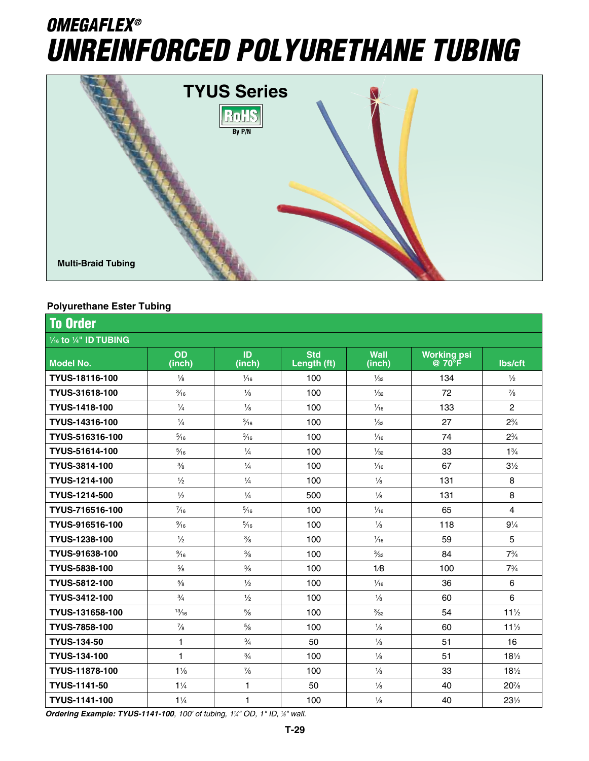# *OMEGAFLEX® Unreinforced Polyurethane Tubing*



#### **Polyurethane Ester Tubing**

| <b>To Order</b><br>1/16 to 1/4" ID TUBING |                |                |     |                |     |                         |  |  |  |
|-------------------------------------------|----------------|----------------|-----|----------------|-----|-------------------------|--|--|--|
|                                           |                |                |     |                |     |                         |  |  |  |
| TYUS-18116-100                            | $\frac{1}{8}$  | $\frac{1}{16}$ | 100 | $\frac{1}{32}$ | 134 | $\frac{1}{2}$           |  |  |  |
| TYUS-31618-100                            | $\frac{3}{16}$ | $\frac{1}{8}$  | 100 | $\frac{1}{32}$ | 72  | $\frac{7}{8}$           |  |  |  |
| TYUS-1418-100                             | $\frac{1}{4}$  | $\frac{1}{8}$  | 100 | $\frac{1}{16}$ | 133 | $\overline{2}$          |  |  |  |
| TYUS-14316-100                            | $\frac{1}{4}$  | $\frac{3}{16}$ | 100 | $\frac{1}{32}$ | 27  | $2\frac{3}{4}$          |  |  |  |
| TYUS-516316-100                           | $\frac{5}{16}$ | $\frac{3}{16}$ | 100 | $\frac{1}{16}$ | 74  | $2\frac{3}{4}$          |  |  |  |
| TYUS-51614-100                            | $\frac{5}{16}$ | $\frac{1}{4}$  | 100 | $\frac{1}{32}$ | 33  | $1\frac{3}{4}$          |  |  |  |
| TYUS-3814-100                             | $\frac{3}{8}$  | $\frac{1}{4}$  | 100 | $\frac{1}{16}$ | 67  | $3\frac{1}{2}$          |  |  |  |
| TYUS-1214-100                             | $\frac{1}{2}$  | $\frac{1}{4}$  | 100 | $\frac{1}{8}$  | 131 | 8                       |  |  |  |
| TYUS-1214-500                             | $\frac{1}{2}$  | $\frac{1}{4}$  | 500 | $\frac{1}{8}$  | 131 | 8                       |  |  |  |
| TYUS-716516-100                           | $\frac{7}{16}$ | $\frac{5}{16}$ | 100 | $\frac{1}{16}$ | 65  | $\overline{\mathbf{4}}$ |  |  |  |
| TYUS-916516-100                           | $\frac{9}{16}$ | $\frac{5}{16}$ | 100 | $\frac{1}{8}$  | 118 | $9\frac{1}{4}$          |  |  |  |
| TYUS-1238-100                             | $\frac{1}{2}$  | $\frac{3}{8}$  | 100 | $\frac{1}{16}$ | 59  | 5                       |  |  |  |
| TYUS-91638-100                            | $\frac{9}{16}$ | $\frac{3}{8}$  | 100 | $\frac{3}{32}$ | 84  | $7\frac{3}{4}$          |  |  |  |
| TYUS-5838-100                             | $\frac{5}{8}$  | $\frac{3}{8}$  | 100 | 1/8            | 100 | $7\frac{3}{4}$          |  |  |  |
| TYUS-5812-100                             | $\frac{5}{8}$  | $\frac{1}{2}$  | 100 | $\frac{1}{16}$ | 36  | 6                       |  |  |  |
| TYUS-3412-100                             | $\frac{3}{4}$  | $\frac{1}{2}$  | 100 | $\frac{1}{8}$  | 60  | $6\phantom{a}$          |  |  |  |
| TYUS-131658-100                           | 13/16          | $5/8$          | 100 | $\frac{3}{32}$ | 54  | $11\frac{1}{2}$         |  |  |  |
| <b>TYUS-7858-100</b>                      | $\frac{7}{8}$  | $5/8$          | 100 | $\frac{1}{8}$  | 60  | $11\frac{1}{2}$         |  |  |  |
| <b>TYUS-134-50</b>                        | $\mathbf{1}$   | $\frac{3}{4}$  | 50  | $\frac{1}{8}$  | 51  | 16                      |  |  |  |
| <b>TYUS-134-100</b>                       | $\mathbf{1}$   | $\frac{3}{4}$  | 100 | $\frac{1}{8}$  | 51  | $18\frac{1}{2}$         |  |  |  |
| TYUS-11878-100                            | $1\frac{1}{8}$ | $\frac{7}{8}$  | 100 | $\frac{1}{8}$  | 33  | $18\frac{1}{2}$         |  |  |  |
| TYUS-1141-50                              | $1\frac{1}{4}$ | $\mathbf{1}$   | 50  | $\frac{1}{8}$  | 40  | 20%                     |  |  |  |
| <b>TYUS-1141-100</b>                      | $1\frac{1}{4}$ | $\mathbf{1}$   | 100 | $\frac{1}{8}$  | 40  | $23\frac{1}{2}$         |  |  |  |

**Ordering Example: TYUS-1141-100**, 100' of tubing, 1¼" OD, 1" ID, ¼" wall.